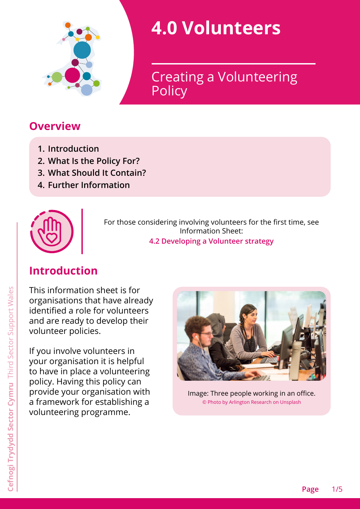

# **4.0 Volunteers**

**Policy** Creating a Volunteering

# **Overview**

- **1. [Introduction](#page-0-0)**
- **2. [What Is the Policy For?](#page-1-0)**
- **3. [What Should It Contain?](#page-1-1)**
- **4. [Further Information](#page-3-0)**



For those considering involving volunteers for the first time, see Information Sheet: **4.2 Developing a Volunteer strategy**

# <span id="page-0-0"></span>**Introduction**

This information sheet is for organisations that have already identified a role for volunteers and are ready to develop their volunteer policies.

If you involve volunteers in your organisation it is helpful to have in place a volunteering policy. Having this policy can provide your organisation with a framework for establishing a volunteering programme.



Image: Three people working in an office. © Photo by Arlington Research on Unsplash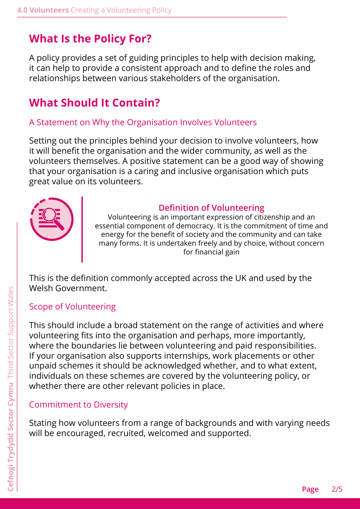# <span id="page-1-0"></span>**What Is the Policy For?**

A policy provides a set of guiding principles to help with decision making, it can help to provide a consistent approach and to define the roles and relationships between various stakeholders of the organisation.

# <span id="page-1-1"></span>**What Should It Contain?**

#### A Statement on Why the Organisation Involves Volunteers

Setting out the principles behind your decision to involve volunteers, how it will benefit the organisation and the wider community, as well as the volunteers themselves. A positive statement can be a good way of showing that your organisation is a caring and inclusive organisation which puts great value on its volunteers.



#### **Definition of Volunteering**

Volunteering is an important expression of citizenship and an essential component of democracy. It is the commitment of time and energy for the benefit of society and the community and can take many forms. It is undertaken freely and by choice, without concern for financial gain

This is the definition commonly accepted across the UK and used by the Welsh Government.

#### Scope of Volunteering

This should include a broad statement on the range of activities and where volunteering fits into the organisation and perhaps, more importantly, where the boundaries lie between volunteering and paid responsibilities. If your organisation also supports internships, work placements or other unpaid schemes it should be acknowledged whether, and to what extent, individuals on these schemes are covered by the volunteering policy, or whether there are other relevant policies in place.

#### Commitment to Diversity

Stating how volunteers from a range of backgrounds and with varying needs will be encouraged, recruited, welcomed and supported.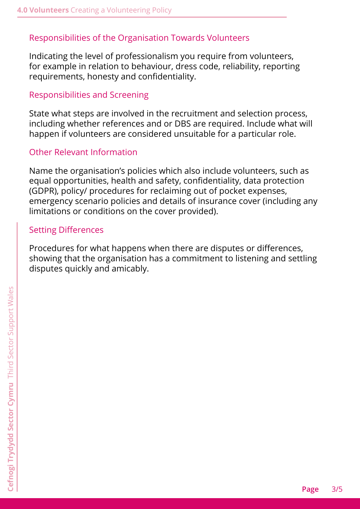#### Responsibilities of the Organisation Towards Volunteers

Indicating the level of professionalism you require from volunteers, for example in relation to behaviour, dress code, reliability, reporting requirements, honesty and confidentiality.

#### Responsibilities and Screening

State what steps are involved in the recruitment and selection process, including whether references and or DBS are required. Include what will happen if volunteers are considered unsuitable for a particular role.

#### Other Relevant Information

Name the organisation's policies which also include volunteers, such as equal opportunities, health and safety, confidentiality, data protection (GDPR), policy/ procedures for reclaiming out of pocket expenses, emergency scenario policies and details of insurance cover (including any limitations or conditions on the cover provided).

#### Setting Differences

Procedures for what happens when there are disputes or differences, showing that the organisation has a commitment to listening and settling disputes quickly and amicably.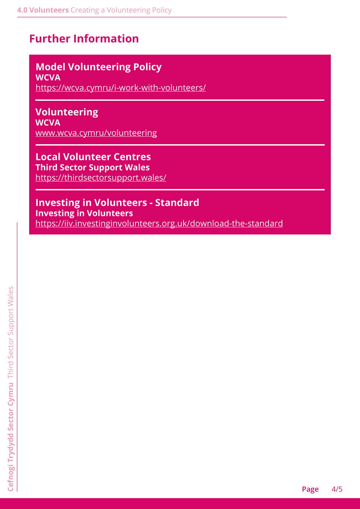# <span id="page-3-0"></span>**Further Information**

# **Model Volunteering Policy**

**WCVA** https://wcva.cymru/i-work-with-volunteers/

## **Volunteering**

**WCVA** [www.wcva.cymru/volunteering](http://www.wcva.cymru/volunteering)

# **Local Volunteer Centres**

**Third Sector Support Wales** <https://thirdsectorsupport.wales/>

#### **Investing in Volunteers - Standard**

**Investing in Volunteers** <https://iiv.investinginvolunteers.org.uk/download-the-standard>